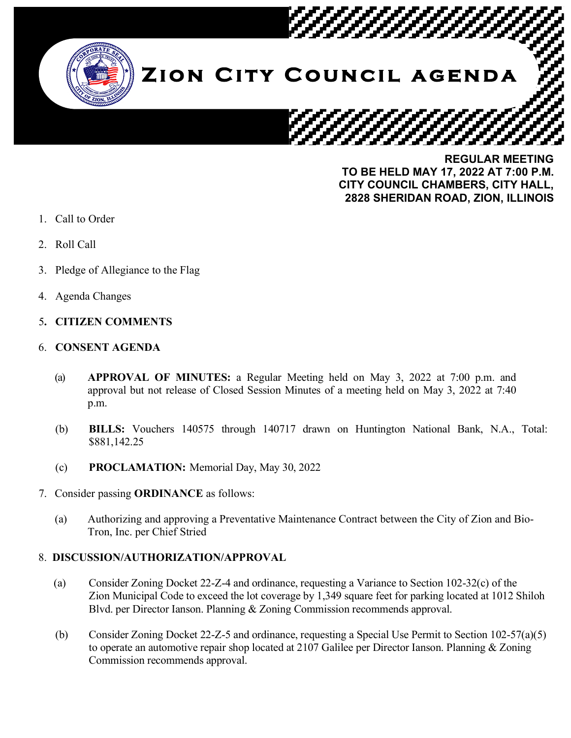

**REGULAR MEETING TO BE HELD MAY 17, 2022 AT 7:00 P.M. CITY COUNCIL CHAMBERS, CITY HALL, 2828 SHERIDAN ROAD, ZION, ILLINOIS**

- 1. Call to Order
- 2. Roll Call
- 3. Pledge of Allegiance to the Flag
- 4. Agenda Changes

# 5**. CITIZEN COMMENTS**

### 6. **CONSENT AGENDA**

- (a) **APPROVAL OF MINUTES:** a Regular Meeting held on May 3, 2022 at 7:00 p.m. and approval but not release of Closed Session Minutes of a meeting held on May 3, 2022 at 7:40 p.m.
- (b) **BILLS:** Vouchers 140575 through 140717 drawn on Huntington National Bank, N.A., Total: \$881,142.25
- (c) **PROCLAMATION:** Memorial Day, May 30, 2022
- 7. Consider passing **ORDINANCE** as follows:
	- (a) Authorizing and approving a Preventative Maintenance Contract between the City of Zion and Bio-Tron, Inc. per Chief Stried

# 8. **DISCUSSION/AUTHORIZATION/APPROVAL**

- (a) Consider Zoning Docket 22-Z-4 and ordinance, requesting a Variance to Section 102-32(c) of the Zion Municipal Code to exceed the lot coverage by 1,349 square feet for parking located at 1012 Shiloh Blvd. per Director Ianson. Planning & Zoning Commission recommends approval.
- (b) Consider Zoning Docket 22-Z-5 and ordinance, requesting a Special Use Permit to Section 102-57(a)(5) to operate an automotive repair shop located at 2107 Galilee per Director Ianson. Planning & Zoning Commission recommends approval.